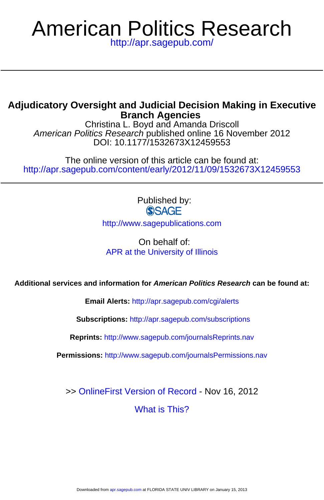## <http://apr.sagepub.com/> American Politics Research

## **Branch Agencies Adjudicatory Oversight and Judicial Decision Making in Executive**

DOI: 10.1177/1532673X12459553 American Politics Research published online 16 November 2012 Christina L. Boyd and Amanda Driscoll

<http://apr.sagepub.com/content/early/2012/11/09/1532673X12459553> The online version of this article can be found at:

Published by:<br>
SAGE

<http://www.sagepublications.com>

On behalf of: [APR at the University of Illinois](https://netfiles.uiuc.edu/bjgaines/APR/APR_Home.html)

**Additional services and information for American Politics Research can be found at:**

**Email Alerts:** <http://apr.sagepub.com/cgi/alerts>

**Subscriptions:** <http://apr.sagepub.com/subscriptions>

**Reprints:** <http://www.sagepub.com/journalsReprints.nav>

**Permissions:** <http://www.sagepub.com/journalsPermissions.nav>

[What is This?](http://online.sagepub.com/site/sphelp/vorhelp.xhtml) >> [OnlineFirst Version of Record -](http://apr.sagepub.com/content/early/2012/11/09/1532673X12459553.full.pdf) Nov 16, 2012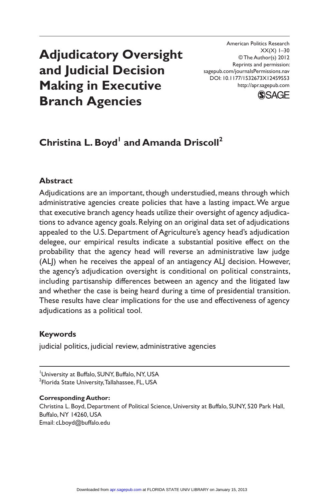# **Adjudicatory Oversight and Judicial Decision Making in Executive Branch Agencies**

American Politics Research  $XX(X)$  1–30 © The Author(s) 2012 Reprints and permission: sagepub.com/journalsPermissions.nav DOI: 10.1177/1532673X12459553 http://apr.sagepub.com



## **Christina L. Boyd<sup>1</sup> and Amanda Driscoll<sup>2</sup>**

#### **Abstract**

Adjudications are an important, though understudied, means through which administrative agencies create policies that have a lasting impact. We argue that executive branch agency heads utilize their oversight of agency adjudications to advance agency goals. Relying on an original data set of adjudications appealed to the U.S. Department of Agriculture's agency head's adjudication delegee, our empirical results indicate a substantial positive effect on the probability that the agency head will reverse an administrative law judge (ALJ) when he receives the appeal of an antiagency ALJ decision. However, the agency's adjudication oversight is conditional on political constraints, including partisanship differences between an agency and the litigated law and whether the case is being heard during a time of presidential transition. These results have clear implications for the use and effectiveness of agency adjudications as a political tool.

#### **Keywords**

judicial politics, judicial review, administrative agencies

#### **Corresponding Author:**

Christina L. Boyd, Department of Political Science, University at Buffalo, SUNY, 520 Park Hall, Buffalo, NY 14260, USA Email: cLboyd@buffalo.edu

<sup>&</sup>lt;sup>1</sup>University at Buffalo, SUNY, Buffalo, NY, USA  $^{\rm 2}$ Florida State University, $\rm 7$ allahassee, FL, USA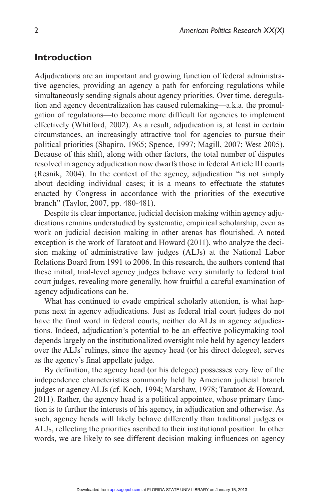## **Introduction**

Adjudications are an important and growing function of federal administrative agencies, providing an agency a path for enforcing regulations while simultaneously sending signals about agency priorities. Over time, deregulation and agency decentralization has caused rulemaking—a.k.a. the promulgation of regulations—to become more difficult for agencies to implement effectively (Whitford, 2002). As a result, adjudication is, at least in certain circumstances, an increasingly attractive tool for agencies to pursue their political priorities (Shapiro, 1965; Spence, 1997; Magill, 2007; West 2005). Because of this shift, along with other factors, the total number of disputes resolved in agency adjudication now dwarfs those in federal Article III courts (Resnik, 2004). In the context of the agency, adjudication "is not simply about deciding individual cases; it is a means to effectuate the statutes enacted by Congress in accordance with the priorities of the executive branch" (Taylor, 2007, pp. 480-481).

Despite its clear importance, judicial decision making within agency adjudications remains understudied by systematic, empirical scholarship, even as work on judicial decision making in other arenas has flourished. A noted exception is the work of Taratoot and Howard (2011), who analyze the decision making of administrative law judges (ALJs) at the National Labor Relations Board from 1991 to 2006. In this research, the authors contend that these initial, trial-level agency judges behave very similarly to federal trial court judges, revealing more generally, how fruitful a careful examination of agency adjudications can be.

What has continued to evade empirical scholarly attention, is what happens next in agency adjudications. Just as federal trial court judges do not have the final word in federal courts, neither do ALJs in agency adjudications. Indeed, adjudication's potential to be an effective policymaking tool depends largely on the institutionalized oversight role held by agency leaders over the ALJs' rulings, since the agency head (or his direct delegee), serves as the agency's final appellate judge.

By definition, the agency head (or his delegee) possesses very few of the independence characteristics commonly held by American judicial branch judges or agency ALJs (cf. Koch, 1994; Marshaw, 1978; Taratoot & Howard, 2011). Rather, the agency head is a political appointee, whose primary function is to further the interests of his agency, in adjudication and otherwise. As such, agency heads will likely behave differently than traditional judges or ALJs, reflecting the priorities ascribed to their institutional position. In other words, we are likely to see different decision making influences on agency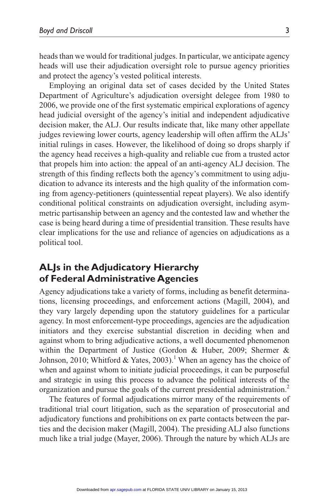heads than we would for traditional judges. In particular, we anticipate agency heads will use their adjudication oversight role to pursue agency priorities and protect the agency's vested political interests.

Employing an original data set of cases decided by the United States Department of Agriculture's adjudication oversight delegee from 1980 to 2006, we provide one of the first systematic empirical explorations of agency head judicial oversight of the agency's initial and independent adjudicative decision maker, the ALJ. Our results indicate that, like many other appellate judges reviewing lower courts, agency leadership will often affirm the ALJs' initial rulings in cases. However, the likelihood of doing so drops sharply if the agency head receives a high-quality and reliable cue from a trusted actor that propels him into action: the appeal of an anti-agency ALJ decision. The strength of this finding reflects both the agency's commitment to using adjudication to advance its interests and the high quality of the information coming from agency-petitioners (quintessential repeat players). We also identify conditional political constraints on adjudication oversight, including asymmetric partisanship between an agency and the contested law and whether the case is being heard during a time of presidential transition. These results have clear implications for the use and reliance of agencies on adjudications as a political tool.

## **ALJs in the Adjudicatory Hierarchy of Federal Administrative Agencies**

Agency adjudications take a variety of forms, including as benefit determinations, licensing proceedings, and enforcement actions (Magill, 2004), and they vary largely depending upon the statutory guidelines for a particular agency. In most enforcement-type proceedings, agencies are the adjudication initiators and they exercise substantial discretion in deciding when and against whom to bring adjudicative actions, a well documented phenomenon within the Department of Justice (Gordon & Huber, 2009; Shermer & Johnson, 2010; Whitford & Yates, 2003).<sup>1</sup> When an agency has the choice of when and against whom to initiate judicial proceedings, it can be purposeful and strategic in using this process to advance the political interests of the organization and pursue the goals of the current presidential administration.<sup>2</sup>

The features of formal adjudications mirror many of the requirements of traditional trial court litigation, such as the separation of prosecutorial and adjudicatory functions and prohibitions on ex parte contacts between the parties and the decision maker (Magill, 2004). The presiding ALJ also functions much like a trial judge (Mayer, 2006). Through the nature by which ALJs are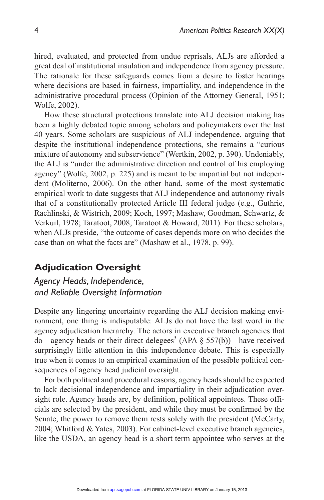hired, evaluated, and protected from undue reprisals, ALJs are afforded a great deal of institutional insulation and independence from agency pressure. The rationale for these safeguards comes from a desire to foster hearings where decisions are based in fairness, impartiality, and independence in the administrative procedural process (Opinion of the Attorney General, 1951; Wolfe, 2002).

How these structural protections translate into ALJ decision making has been a highly debated topic among scholars and policymakers over the last 40 years. Some scholars are suspicious of ALJ independence, arguing that despite the institutional independence protections, she remains a "curious mixture of autonomy and subservience" (Wertkin, 2002, p. 390). Undeniably, the ALJ is "under the administrative direction and control of his employing agency" (Wolfe, 2002, p. 225) and is meant to be impartial but not independent (Moliterno, 2006). On the other hand, some of the most systematic empirical work to date suggests that ALJ independence and autonomy rivals that of a constitutionally protected Article III federal judge (e.g., Guthrie, Rachlinski, & Wistrich, 2009; Koch, 1997; Mashaw, Goodman, Schwartz, & Verkuil, 1978; Taratoot, 2008; Taratoot & Howard, 2011). For these scholars, when ALJs preside, "the outcome of cases depends more on who decides the case than on what the facts are" (Mashaw et al., 1978, p. 99).

## **Adjudication Oversight**

## *Agency Heads, Independence, and Reliable Oversight Information*

Despite any lingering uncertainty regarding the ALJ decision making environment, one thing is indisputable: ALJs do not have the last word in the agency adjudication hierarchy. The actors in executive branch agencies that do—agency heads or their direct delegees<sup>3</sup> (APA  $\S$  557(b))—have received surprisingly little attention in this independence debate. This is especially true when it comes to an empirical examination of the possible political consequences of agency head judicial oversight.

For both political and procedural reasons, agency heads should be expected to lack decisional independence and impartiality in their adjudication oversight role. Agency heads are, by definition, political appointees. These officials are selected by the president, and while they must be confirmed by the Senate, the power to remove them rests solely with the president (McCarty, 2004; Whitford & Yates, 2003). For cabinet-level executive branch agencies, like the USDA, an agency head is a short term appointee who serves at the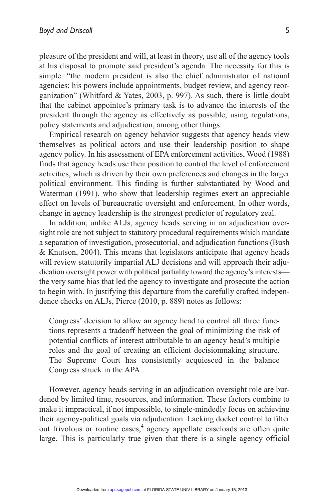pleasure of the president and will, at least in theory, use all of the agency tools at his disposal to promote said president's agenda. The necessity for this is simple: "the modern president is also the chief administrator of national agencies; his powers include appointments, budget review, and agency reorganization" (Whitford & Yates, 2003, p. 997). As such, there is little doubt that the cabinet appointee's primary task is to advance the interests of the president through the agency as effectively as possible, using regulations, policy statements and adjudication, among other things.

Empirical research on agency behavior suggests that agency heads view themselves as political actors and use their leadership position to shape agency policy. In his assessment of EPA enforcement activities, Wood (1988) finds that agency heads use their position to control the level of enforcement activities, which is driven by their own preferences and changes in the larger political environment. This finding is further substantiated by Wood and Waterman (1991), who show that leadership regimes exert an appreciable effect on levels of bureaucratic oversight and enforcement. In other words, change in agency leadership is the strongest predictor of regulatory zeal.

In addition, unlike ALJs, agency heads serving in an adjudication oversight role are not subject to statutory procedural requirements which mandate a separation of investigation, prosecutorial, and adjudication functions (Bush & Knutson, 2004). This means that legislators anticipate that agency heads will review statutorily impartial ALJ decisions and will approach their adjudication oversight power with political partiality toward the agency's interests the very same bias that led the agency to investigate and prosecute the action to begin with. In justifying this departure from the carefully crafted independence checks on ALJs, Pierce (2010, p. 889) notes as follows:

Congress' decision to allow an agency head to control all three functions represents a tradeoff between the goal of minimizing the risk of potential conflicts of interest attributable to an agency head's multiple roles and the goal of creating an efficient decisionmaking structure. The Supreme Court has consistently acquiesced in the balance Congress struck in the APA.

However, agency heads serving in an adjudication oversight role are burdened by limited time, resources, and information. These factors combine to make it impractical, if not impossible, to single-mindedly focus on achieving their agency-political goals via adjudication. Lacking docket control to filter out frivolous or routine cases,<sup>4</sup> agency appellate caseloads are often quite large. This is particularly true given that there is a single agency official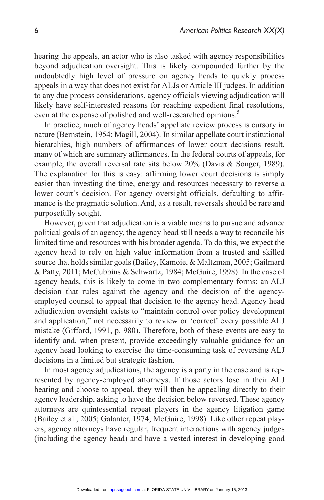hearing the appeals, an actor who is also tasked with agency responsibilities beyond adjudication oversight. This is likely compounded further by the undoubtedly high level of pressure on agency heads to quickly process appeals in a way that does not exist for ALJs or Article III judges. In addition to any due process considerations, agency officials viewing adjudication will likely have self-interested reasons for reaching expedient final resolutions, even at the expense of polished and well-researched opinions.<sup>5</sup>

In practice, much of agency heads' appellate review process is cursory in nature (Bernstein, 1954; Magill, 2004). In similar appellate court institutional hierarchies, high numbers of affirmances of lower court decisions result, many of which are summary affirmances. In the federal courts of appeals, for example, the overall reversal rate sits below 20% (Davis & Songer, 1989). The explanation for this is easy: affirming lower court decisions is simply easier than investing the time, energy and resources necessary to reverse a lower court's decision. For agency oversight officials, defaulting to affirmance is the pragmatic solution. And, as a result, reversals should be rare and purposefully sought.

However, given that adjudication is a viable means to pursue and advance political goals of an agency, the agency head still needs a way to reconcile his limited time and resources with his broader agenda. To do this, we expect the agency head to rely on high value information from a trusted and skilled source that holds similar goals (Bailey, Kamoie, & Maltzman, 2005; Gailmard & Patty, 2011; McCubbins & Schwartz, 1984; McGuire, 1998). In the case of agency heads, this is likely to come in two complementary forms: an ALJ decision that rules against the agency and the decision of the agencyemployed counsel to appeal that decision to the agency head. Agency head adjudication oversight exists to "maintain control over policy development and application," not necessarily to review or 'correct' every possible ALJ mistake (Gifford, 1991, p. 980). Therefore, both of these events are easy to identify and, when present, provide exceedingly valuable guidance for an agency head looking to exercise the time-consuming task of reversing ALJ decisions in a limited but strategic fashion.

In most agency adjudications, the agency is a party in the case and is represented by agency-employed attorneys. If those actors lose in their ALJ hearing and choose to appeal, they will then be appealing directly to their agency leadership, asking to have the decision below reversed. These agency attorneys are quintessential repeat players in the agency litigation game (Bailey et al., 2005; Galanter, 1974; McGuire, 1998). Like other repeat players, agency attorneys have regular, frequent interactions with agency judges (including the agency head) and have a vested interest in developing good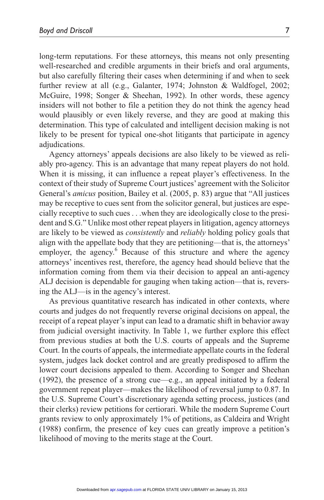long-term reputations. For these attorneys, this means not only presenting well-researched and credible arguments in their briefs and oral arguments, but also carefully filtering their cases when determining if and when to seek further review at all (e.g., Galanter, 1974; Johnston & Waldfogel, 2002; McGuire, 1998; Songer & Sheehan, 1992). In other words, these agency insiders will not bother to file a petition they do not think the agency head would plausibly or even likely reverse, and they are good at making this determination. This type of calculated and intelligent decision making is not likely to be present for typical one-shot litigants that participate in agency adjudications.

Agency attorneys' appeals decisions are also likely to be viewed as reliably pro-agency. This is an advantage that many repeat players do not hold. When it is missing, it can influence a repeat player's effectiveness. In the context of their study of Supreme Court justices' agreement with the Solicitor General's *amicus* position, Bailey et al. (2005, p. 83) argue that "All justices may be receptive to cues sent from the solicitor general, but justices are especially receptive to such cues . . .when they are ideologically close to the president and S.G." Unlike most other repeat players in litigation, agency attorneys are likely to be viewed as *consistently* and *reliably* holding policy goals that align with the appellate body that they are petitioning—that is, the attorneys' employer, the agency.<sup>6</sup> Because of this structure and where the agency attorneys' incentives rest, therefore, the agency head should believe that the information coming from them via their decision to appeal an anti-agency ALJ decision is dependable for gauging when taking action—that is, reversing the ALJ—is in the agency's interest.

As previous quantitative research has indicated in other contexts, where courts and judges do not frequently reverse original decisions on appeal, the receipt of a repeat player's input can lead to a dramatic shift in behavior away from judicial oversight inactivity. In Table 1, we further explore this effect from previous studies at both the U.S. courts of appeals and the Supreme Court. In the courts of appeals, the intermediate appellate courts in the federal system, judges lack docket control and are greatly predisposed to affirm the lower court decisions appealed to them. According to Songer and Sheehan (1992), the presence of a strong cue—e.g., an appeal initiated by a federal government repeat player—makes the likelihood of reversal jump to 0.87. In the U.S. Supreme Court's discretionary agenda setting process, justices (and their clerks) review petitions for certiorari. While the modern Supreme Court grants review to only approximately 1% of petitions, as Caldeira and Wright (1988) confirm, the presence of key cues can greatly improve a petition's likelihood of moving to the merits stage at the Court.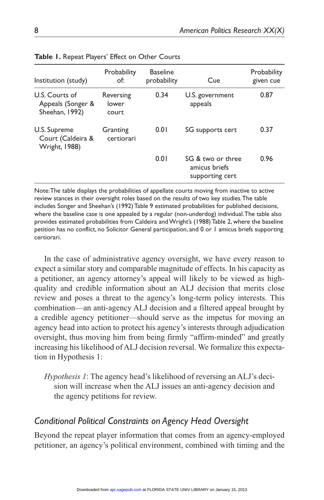| Institution (study)                                       | Probability<br>of:          | <b>Baseline</b><br>probability | Cue                                                   | Probability<br>given cue |
|-----------------------------------------------------------|-----------------------------|--------------------------------|-------------------------------------------------------|--------------------------|
| U.S. Courts of<br>Appeals (Songer &<br>Sheehan, 1992)     | Reversing<br>lower<br>court | 0.34                           | U.S. government<br>appeals                            | 0.87                     |
| U.S. Supreme<br>Court (Caldeira &<br><b>Wright, 1988)</b> | Granting<br>certiorari      | 0.01                           | SG supports cert                                      | 0.37                     |
|                                                           |                             | 0.01                           | SG & two or three<br>amicus briefs<br>supporting cert | 0.96                     |

|  |  |  |  | Table 1. Repeat Players' Effect on Other Courts |  |  |
|--|--|--|--|-------------------------------------------------|--|--|
|--|--|--|--|-------------------------------------------------|--|--|

Note: The table displays the probabilities of appellate courts moving from inactive to active review stances in their oversight roles based on the results of two key studies. The table includes Songer and Sheehan's (1992) Table 9 estimated probabilities for published decisions, where the baseline case is one appealed by a regular (non-underdog) individual. The table also provides estimated probabilities from Caldeira and Wright's (1988) Table 2, where the baseline petition has no conflict, no Solicitor General participation, and 0 or 1 amicus briefs supporting certiorari.

In the case of administrative agency oversight, we have every reason to expect a similar story and comparable magnitude of effects. In his capacity as a petitioner, an agency attorney's appeal will likely to be viewed as highquality and credible information about an ALJ decision that merits close review and poses a threat to the agency's long-term policy interests. This combination—an anti-agency ALJ decision and a filtered appeal brought by a credible agency petitioner—should serve as the impetus for moving an agency head into action to protect his agency's interests through adjudication oversight, thus moving him from being firmly "affirm-minded" and greatly increasing his likelihood of ALJ decision reversal. We formalize this expectation in Hypothesis 1:

*Hypothesis 1*: The agency head's likelihood of reversing an ALJ's decision will increase when the ALJ issues an anti-agency decision and the agency petitions for review.

## *Conditional Political Constraints on Agency Head Oversight*

Beyond the repeat player information that comes from an agency-employed petitioner, an agency's political environment, combined with timing and the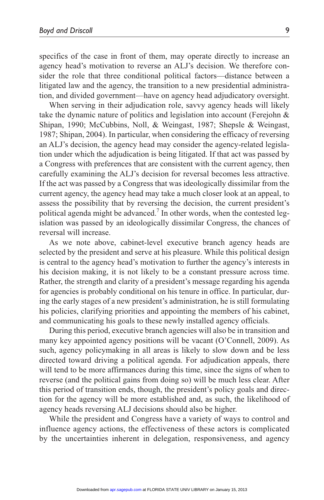specifics of the case in front of them, may operate directly to increase an agency head's motivation to reverse an ALJ's decision. We therefore consider the role that three conditional political factors—distance between a litigated law and the agency, the transition to a new presidential administration, and divided government—have on agency head adjudicatory oversight.

When serving in their adjudication role, savvy agency heads will likely take the dynamic nature of politics and legislation into account (Ferejohn & Shipan, 1990; McCubbins, Noll, & Weingast, 1987; Shepsle & Weingast, 1987; Shipan, 2004). In particular, when considering the efficacy of reversing an ALJ's decision, the agency head may consider the agency-related legislation under which the adjudication is being litigated. If that act was passed by a Congress with preferences that are consistent with the current agency, then carefully examining the ALJ's decision for reversal becomes less attractive. If the act was passed by a Congress that was ideologically dissimilar from the current agency, the agency head may take a much closer look at an appeal, to assess the possibility that by reversing the decision, the current president's political agenda might be advanced.<sup>7</sup> In other words, when the contested legislation was passed by an ideologically dissimilar Congress, the chances of reversal will increase.

As we note above, cabinet-level executive branch agency heads are selected by the president and serve at his pleasure. While this political design is central to the agency head's motivation to further the agency's interests in his decision making, it is not likely to be a constant pressure across time. Rather, the strength and clarity of a president's message regarding his agenda for agencies is probably conditional on his tenure in office. In particular, during the early stages of a new president's administration, he is still formulating his policies, clarifying priorities and appointing the members of his cabinet, and communicating his goals to these newly installed agency officials.

During this period, executive branch agencies will also be in transition and many key appointed agency positions will be vacant (O'Connell, 2009). As such, agency policymaking in all areas is likely to slow down and be less directed toward driving a political agenda. For adjudication appeals, there will tend to be more affirmances during this time, since the signs of when to reverse (and the political gains from doing so) will be much less clear. After this period of transition ends, though, the president's policy goals and direction for the agency will be more established and, as such, the likelihood of agency heads reversing ALJ decisions should also be higher.

While the president and Congress have a variety of ways to control and influence agency actions, the effectiveness of these actors is complicated by the uncertainties inherent in delegation, responsiveness, and agency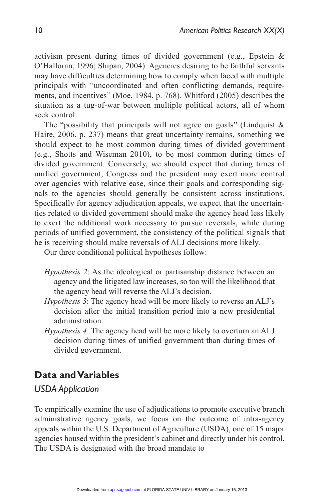activism present during times of divided government (e.g., Epstein & O'Halloran, 1996; Shipan, 2004). Agencies desiring to be faithful servants may have difficulties determining how to comply when faced with multiple principals with "uncoordinated and often conflicting demands, requirements, and incentives" (Moe, 1984, p. 768). Whitford (2005) describes the situation as a tug-of-war between multiple political actors, all of whom seek control.

The "possibility that principals will not agree on goals" (Lindquist  $\&$ Haire, 2006, p. 237) means that great uncertainty remains, something we should expect to be most common during times of divided government (e.g., Shotts and Wiseman 2010), to be most common during times of divided government. Conversely, we should expect that during times of unified government, Congress and the president may exert more control over agencies with relative ease, since their goals and corresponding signals to the agencies should generally be consistent across institutions. Specifically for agency adjudication appeals, we expect that the uncertainties related to divided government should make the agency head less likely to exert the additional work necessary to pursue reversals, while during periods of unified government, the consistency of the political signals that he is receiving should make reversals of ALJ decisions more likely.

Our three conditional political hypotheses follow:

- *Hypothesis 2*: As the ideological or partisanship distance between an agency and the litigated law increases, so too will the likelihood that the agency head will reverse the ALJ's decision.
- *Hypothesis 3*: The agency head will be more likely to reverse an ALJ's decision after the initial transition period into a new presidential administration.
- *Hypothesis 4*: The agency head will be more likely to overturn an ALJ decision during times of unified government than during times of divided government.

## **Data and Variables**

#### *USDA Application*

To empirically examine the use of adjudications to promote executive branch administrative agency goals, we focus on the outcome of intra-agency appeals within the U.S. Department of Agriculture (USDA), one of 15 major agencies housed within the president's cabinet and directly under his control. The USDA is designated with the broad mandate to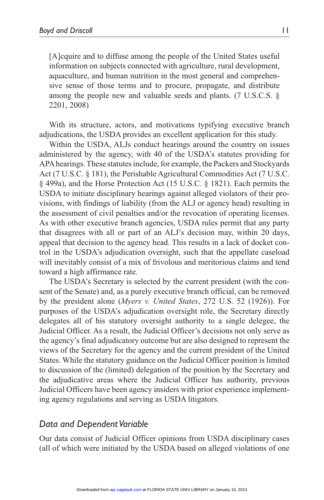[A]cquire and to diffuse among the people of the United States useful information on subjects connected with agriculture, rural development, aquaculture, and human nutrition in the most general and comprehensive sense of those terms and to procure, propagate, and distribute among the people new and valuable seeds and plants. (7 U.S.C.S. § 2201, 2008)

With its structure, actors, and motivations typifying executive branch adjudications, the USDA provides an excellent application for this study.

Within the USDA, ALJs conduct hearings around the country on issues administered by the agency, with 40 of the USDA's statutes providing for APA hearings. These statutes include, for example, the Packers and Stockyards Act (7 U.S.C. § 181), the Perishable Agricultural Commodities Act (7 U.S.C. § 499a), and the Horse Protection Act (15 U.S.C. § 1821). Each permits the USDA to initiate disciplinary hearings against alleged violators of their provisions, with findings of liability (from the ALJ or agency head) resulting in the assessment of civil penalties and/or the revocation of operating licenses. As with other executive branch agencies, USDA rules permit that any party that disagrees with all or part of an ALJ's decision may, within 20 days, appeal that decision to the agency head. This results in a lack of docket control in the USDA's adjudication oversight, such that the appellate caseload will inevitably consist of a mix of frivolous and meritorious claims and tend toward a high affirmance rate.

The USDA's Secretary is selected by the current president (with the consent of the Senate) and, as a purely executive branch official, can be removed by the president alone (*Myers v. United States*, 272 U.S. 52 (1926)). For purposes of the USDA's adjudication oversight role, the Secretary directly delegates all of his statutory oversight authority to a single delegee, the Judicial Officer. As a result, the Judicial Officer's decisions not only serve as the agency's final adjudicatory outcome but are also designed to represent the views of the Secretary for the agency and the current president of the United States. While the statutory guidance on the Judicial Officer position is limited to discussion of the (limited) delegation of the position by the Secretary and the adjudicative areas where the Judicial Officer has authority, previous Judicial Officers have been agency insiders with prior experience implementing agency regulations and serving as USDA litigators.

## *Data and Dependent Variable*

Our data consist of Judicial Officer opinions from USDA disciplinary cases (all of which were initiated by the USDA based on alleged violations of one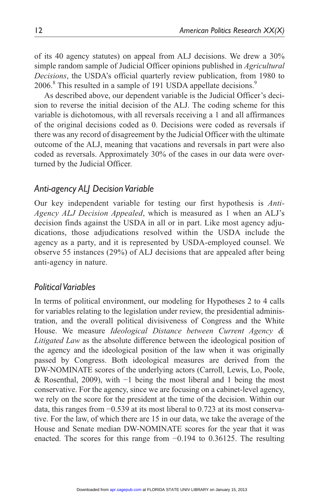of its 40 agency statutes) on appeal from ALJ decisions. We drew a 30% simple random sample of Judicial Officer opinions published in *Agricultural Decisions*, the USDA's official quarterly review publication, from 1980 to 2006.<sup>8</sup> This resulted in a sample of 191 USDA appellate decisions.<sup>9</sup>

As described above, our dependent variable is the Judicial Officer's decision to reverse the initial decision of the ALJ. The coding scheme for this variable is dichotomous, with all reversals receiving a 1 and all affirmances of the original decisions coded as 0. Decisions were coded as reversals if there was any record of disagreement by the Judicial Officer with the ultimate outcome of the ALJ, meaning that vacations and reversals in part were also coded as reversals. Approximately 30% of the cases in our data were overturned by the Judicial Officer.

## *Anti-agency ALJ Decision Variable*

Our key independent variable for testing our first hypothesis is *Anti-Agency ALJ Decision Appealed*, which is measured as 1 when an ALJ's decision finds against the USDA in all or in part. Like most agency adjudications, those adjudications resolved within the USDA include the agency as a party, and it is represented by USDA-employed counsel. We observe 55 instances (29%) of ALJ decisions that are appealed after being anti-agency in nature.

#### *Political Variables*

In terms of political environment, our modeling for Hypotheses 2 to 4 calls for variables relating to the legislation under review, the presidential administration, and the overall political divisiveness of Congress and the White House. We measure *Ideological Distance between Current Agency & Litigated Law* as the absolute difference between the ideological position of the agency and the ideological position of the law when it was originally passed by Congress. Both ideological measures are derived from the DW-NOMINATE scores of the underlying actors (Carroll, Lewis, Lo, Poole, & Rosenthal, 2009), with −1 being the most liberal and 1 being the most conservative. For the agency, since we are focusing on a cabinet-level agency, we rely on the score for the president at the time of the decision. Within our data, this ranges from −0.539 at its most liberal to 0.723 at its most conservative. For the law, of which there are 15 in our data, we take the average of the House and Senate median DW-NOMINATE scores for the year that it was enacted. The scores for this range from −0.194 to 0.36125. The resulting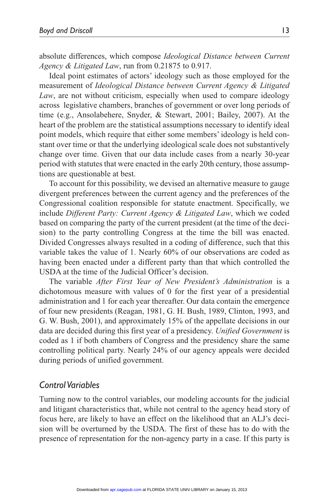absolute differences, which compose *Ideological Distance between Current Agency & Litigated Law*, run from 0.21875 to 0.917.

Ideal point estimates of actors' ideology such as those employed for the measurement of *Ideological Distance between Current Agency & Litigated Law*, are not without criticism, especially when used to compare ideology across legislative chambers, branches of government or over long periods of time (e.g., Ansolabehere, Snyder, & Stewart, 2001; Bailey, 2007). At the heart of the problem are the statistical assumptions necessary to identify ideal point models, which require that either some members' ideology is held constant over time or that the underlying ideological scale does not substantively change over time. Given that our data include cases from a nearly 30-year period with statutes that were enacted in the early 20th century, those assumptions are questionable at best.

To account for this possibility, we devised an alternative measure to gauge divergent preferences between the current agency and the preferences of the Congressional coalition responsible for statute enactment. Specifically, we include *Different Party: Current Agency & Litigated Law*, which we coded based on comparing the party of the current president (at the time of the decision) to the party controlling Congress at the time the bill was enacted. Divided Congresses always resulted in a coding of difference, such that this variable takes the value of 1. Nearly 60% of our observations are coded as having been enacted under a different party than that which controlled the USDA at the time of the Judicial Officer's decision.

The variable *After First Year of New President's Administration* is a dichotomous measure with values of 0 for the first year of a presidential administration and 1 for each year thereafter. Our data contain the emergence of four new presidents (Reagan, 1981, G. H. Bush, 1989, Clinton, 1993, and G. W. Bush, 2001), and approximately 15% of the appellate decisions in our data are decided during this first year of a presidency. *Unified Government* is coded as 1 if both chambers of Congress and the presidency share the same controlling political party. Nearly 24% of our agency appeals were decided during periods of unified government.

### *Control Variables*

Turning now to the control variables, our modeling accounts for the judicial and litigant characteristics that, while not central to the agency head story of focus here, are likely to have an effect on the likelihood that an ALJ's decision will be overturned by the USDA. The first of these has to do with the presence of representation for the non-agency party in a case. If this party is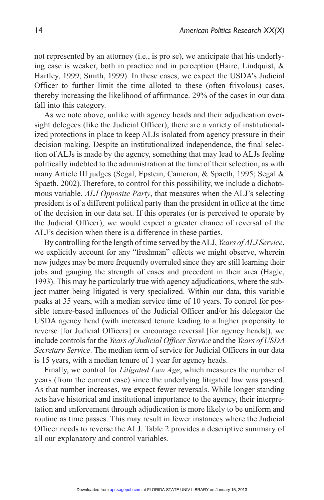not represented by an attorney (i.e., is pro se), we anticipate that his underlying case is weaker, both in practice and in perception (Haire, Lindquist, & Hartley, 1999; Smith, 1999). In these cases, we expect the USDA's Judicial Officer to further limit the time alloted to these (often frivolous) cases, thereby increasing the likelihood of affirmance. 29% of the cases in our data fall into this category.

As we note above, unlike with agency heads and their adjudication oversight delegees (like the Judicial Officer), there are a variety of institutionalized protections in place to keep ALJs isolated from agency pressure in their decision making. Despite an institutionalized independence, the final selection of ALJs is made by the agency, something that may lead to ALJs feeling politically indebted to the administration at the time of their selection, as with many Article III judges (Segal, Epstein, Cameron, & Spaeth, 1995; Segal & Spaeth, 2002).Therefore, to control for this possibility, we include a dichotomous variable, *ALJ Opposite Party*, that measures when the ALJ's selecting president is of a different political party than the president in office at the time of the decision in our data set. If this operates (or is perceived to operate by the Judicial Officer), we would expect a greater chance of reversal of the ALJ's decision when there is a difference in these parties.

By controlling for the length of time served by the ALJ, *Years of ALJ Service*, we explicitly account for any "freshman" effects we might observe, wherein new judges may be more frequently overruled since they are still learning their jobs and gauging the strength of cases and precedent in their area (Hagle, 1993). This may be particularly true with agency adjudications, where the subject matter being litigated is very specialized. Within our data, this variable peaks at 35 years, with a median service time of 10 years. To control for possible tenure-based influences of the Judicial Officer and/or his delegator the USDA agency head (with increased tenure leading to a higher propensity to reverse [for Judicial Officers] or encourage reversal [for agency heads]), we include controls for the *Years of Judicial Officer Service* and the *Years of USDA Secretary Service*. The median term of service for Judicial Officers in our data is 15 years, with a median tenure of 1 year for agency heads.

Finally, we control for *Litigated Law Age*, which measures the number of years (from the current case) since the underlying litigated law was passed. As that number increases, we expect fewer reversals. While longer standing acts have historical and institutional importance to the agency, their interpretation and enforcement through adjudication is more likely to be uniform and routine as time passes. This may result in fewer instances where the Judicial Officer needs to reverse the ALJ. Table 2 provides a descriptive summary of all our explanatory and control variables.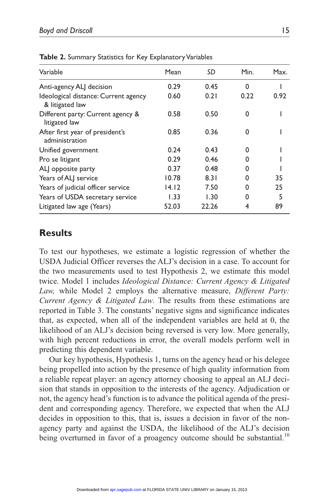| Variable                                                | Mean  | SD    | Min.     | Max. |
|---------------------------------------------------------|-------|-------|----------|------|
| Anti-agency ALJ decision                                | 0.29  | 0.45  | $\Omega$ |      |
| Ideological distance: Current agency<br>& litigated law | 0.60  | 0.21  | 0.22     | 0.92 |
| Different party: Current agency &<br>litigated law      | 0.58  | 0.50  | 0        |      |
| After first year of president's<br>administration       | 0.85  | 0.36  | 0        |      |
| Unified government                                      | 0.24  | 0.43  | ŋ        |      |
| Pro se litigant                                         | 0.29  | 0.46  | Ω        |      |
| ALI opposite party                                      | 0.37  | 0.48  | Ω        |      |
| Years of ALJ service                                    | 10.78 | 8.31  | Ω        | 35   |
| Years of judicial officer service                       | 14.12 | 7.50  | ი        | 25   |
| Years of USDA secretary service                         | 1.33  | 1.30  | ŋ        | 5    |
| Litigated law age (Years)                               | 52.03 | 22.26 | 4        | 89   |

**Table 2.** Summary Statistics for Key Explanatory Variables

## **Results**

To test our hypotheses, we estimate a logistic regression of whether the USDA Judicial Officer reverses the ALJ's decision in a case. To account for the two measurements used to test Hypothesis 2, we estimate this model twice. Model 1 includes *Ideological Distance: Current Agency & Litigated Law,* while Model 2 employs the alternative measure, *Different Party: Current Agency & Litigated Law*. The results from these estimations are reported in Table 3. The constants' negative signs and significance indicates that, as expected, when all of the independent variables are held at 0, the likelihood of an ALJ's decision being reversed is very low. More generally, with high percent reductions in error, the overall models perform well in predicting this dependent variable.

Our key hypothesis, Hypothesis 1, turns on the agency head or his delegee being propelled into action by the presence of high quality information from a reliable repeat player: an agency attorney choosing to appeal an ALJ decision that stands in opposition to the interests of the agency. Adjudication or not, the agency head's function is to advance the political agenda of the president and corresponding agency. Therefore, we expected that when the ALJ decides in opposition to this, that is, issues a decision in favor of the nonagency party and against the USDA, the likelihood of the ALJ's decision being overturned in favor of a proagency outcome should be substantial.<sup>10</sup>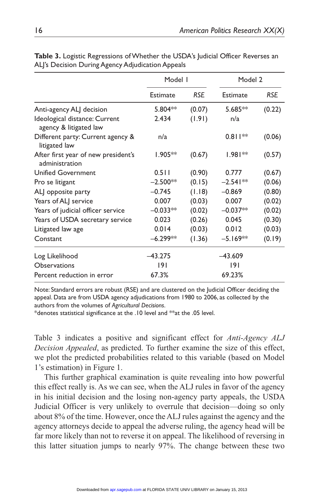|                                                         | Model I    |            | Model 2    |            |
|---------------------------------------------------------|------------|------------|------------|------------|
|                                                         | Estimate   | <b>RSE</b> | Estimate   | <b>RSE</b> |
| Anti-agency ALJ decision                                | 5.804**    | (0.07)     | $5.685**$  | (0.22)     |
| Ideological distance: Current<br>agency & litigated law | 2.434      | (1.91)     | n/a        |            |
| Different party: Current agency &<br>litigated law      | n/a        |            | $0.811**$  | (0.06)     |
| After first year of new president's<br>administration   | $1.905**$  | (0.67)     | $1.981**$  | (0.57)     |
| <b>Unified Government</b>                               | 0.511      | (0.90)     | 0.777      | (0.67)     |
| Pro se litigant                                         | $-2.500**$ | (0.15)     | $-2.541**$ | (0.06)     |
| ALJ opposite party                                      | $-0.745$   | (1.18)     | $-0.869$   | (0.80)     |
| Years of ALJ service                                    | 0.007      | (0.03)     | 0.007      | (0.02)     |
| Years of judicial officer service                       | $-0.033**$ | (0.02)     | $-0.037**$ | (0.02)     |
| Years of USDA secretary service                         | 0.023      | (0.26)     | 0.045      | (0.30)     |
| Litigated law age                                       | 0.014      | (0.03)     | 0.012      | (0.03)     |
| Constant                                                | $-6.299**$ | (1.36)     | $-5.169**$ | (0.19)     |
| Log Likelihood                                          | $-43.275$  |            | $-43.609$  |            |
| Observations                                            | 9          |            | 9          |            |
| Percent reduction in error                              | 67.3%      |            | 69.23%     |            |

**Table 3.** Logistic Regressions of Whether the USDA's Judicial Officer Reverses an ALJ's Decision During Agency Adjudication Appeals

Note: Standard errors are robust (RSE) and are clustered on the Judicial Officer deciding the appeal. Data are from USDA agency adjudications from 1980 to 2006, as collected by the authors from the volumes of *Agricultural Decisions*.

\*denotes statistical significance at the .10 level and \*\*at the .05 level.

Table 3 indicates a positive and significant effect for *Anti-Agency ALJ Decision Appealed*, as predicted. To further examine the size of this effect, we plot the predicted probabilities related to this variable (based on Model 1's estimation) in Figure 1.

This further graphical examination is quite revealing into how powerful this effect really is. As we can see, when the ALJ rules in favor of the agency in his initial decision and the losing non-agency party appeals, the USDA Judicial Officer is very unlikely to overrule that decision—doing so only about 8% of the time. However, once the ALJ rules against the agency and the agency attorneys decide to appeal the adverse ruling, the agency head will be far more likely than not to reverse it on appeal. The likelihood of reversing in this latter situation jumps to nearly 97%. The change between these two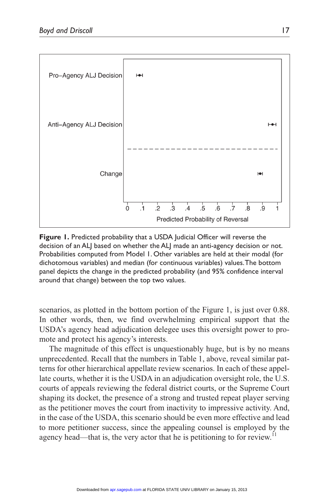

**Figure 1.** Predicted probability that a USDA Judicial Officer will reverse the decision of an ALJ based on whether the ALJ made an anti-agency decision or not. Probabilities computed from Model 1. Other variables are held at their modal (for dichotomous variables) and median (for continuous variables) values. The bottom panel depicts the change in the predicted probability (and 95% confidence interval around that change) between the top two values.

scenarios, as plotted in the bottom portion of the Figure 1, is just over 0.88. In other words, then, we find overwhelming empirical support that the USDA's agency head adjudication delegee uses this oversight power to promote and protect his agency's interests.

The magnitude of this effect is unquestionably huge, but is by no means unprecedented. Recall that the numbers in Table 1, above, reveal similar patterns for other hierarchical appellate review scenarios. In each of these appellate courts, whether it is the USDA in an adjudication oversight role, the U.S. courts of appeals reviewing the federal district courts, or the Supreme Court shaping its docket, the presence of a strong and trusted repeat player serving as the petitioner moves the court from inactivity to impressive activity. And, in the case of the USDA, this scenario should be even more effective and lead to more petitioner success, since the appealing counsel is employed by the agency head—that is, the very actor that he is petitioning to for review.<sup>11</sup>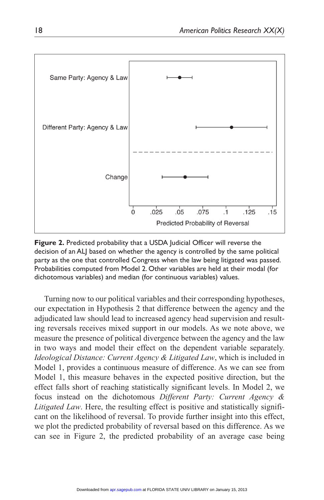

**Figure 2.** Predicted probability that a USDA Judicial Officer will reverse the decision of an ALJ based on whether the agency is controlled by the same political party as the one that controlled Congress when the law being litigated was passed. Probabilities computed from Model 2. Other variables are held at their modal (for dichotomous variables) and median (for continuous variables) values.

Turning now to our political variables and their corresponding hypotheses, our expectation in Hypothesis 2 that difference between the agency and the adjudicated law should lead to increased agency head supervision and resulting reversals receives mixed support in our models. As we note above, we measure the presence of political divergence between the agency and the law in two ways and model their effect on the dependent variable separately. *Ideological Distance: Current Agency & Litigated Law*, which is included in Model 1, provides a continuous measure of difference. As we can see from Model 1, this measure behaves in the expected positive direction, but the effect falls short of reaching statistically significant levels. In Model 2, we focus instead on the dichotomous *Different Party: Current Agency & Litigated Law*. Here, the resulting effect is positive and statistically significant on the likelihood of reversal. To provide further insight into this effect, we plot the predicted probability of reversal based on this difference. As we can see in Figure 2, the predicted probability of an average case being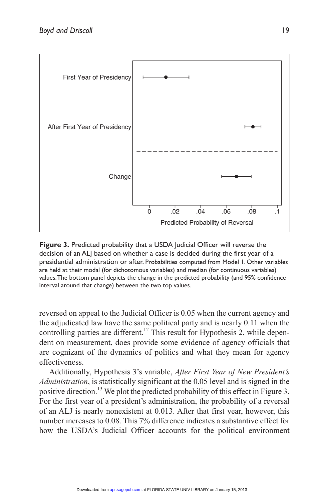

**Figure 3.** Predicted probability that a USDA Judicial Officer will reverse the decision of an ALJ based on whether a case is decided during the first year of a presidential administration or after. Probabilities computed from Model 1. Other variables are held at their modal (for dichotomous variables) and median (for continuous variables) values. The bottom panel depicts the change in the predicted probability (and 95% confidence interval around that change) between the two top values.

reversed on appeal to the Judicial Officer is 0.05 when the current agency and the adjudicated law have the same political party and is nearly 0.11 when the controlling parties are different.<sup>12</sup> This result for Hypothesis 2, while dependent on measurement, does provide some evidence of agency officials that are cognizant of the dynamics of politics and what they mean for agency effectiveness.

Additionally, Hypothesis 3's variable, *After First Year of New President's Administration*, is statistically significant at the 0.05 level and is signed in the positive direction.13 We plot the predicted probability of this effect in Figure 3. For the first year of a president's administration, the probability of a reversal of an ALJ is nearly nonexistent at 0.013. After that first year, however, this number increases to 0.08. This 7% difference indicates a substantive effect for how the USDA's Judicial Officer accounts for the political environment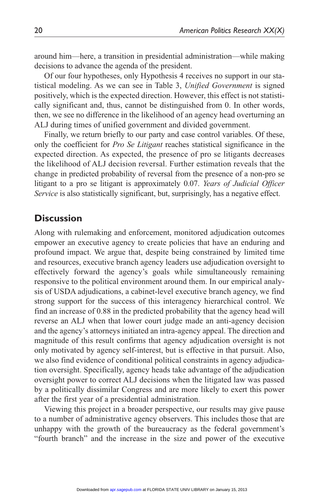around him—here, a transition in presidential administration—while making decisions to advance the agenda of the president.

Of our four hypotheses, only Hypothesis 4 receives no support in our statistical modeling. As we can see in Table 3, *Unified Government* is signed positively, which is the expected direction. However, this effect is not statistically significant and, thus, cannot be distinguished from 0. In other words, then, we see no difference in the likelihood of an agency head overturning an ALJ during times of unified government and divided government.

Finally, we return briefly to our party and case control variables. Of these, only the coefficient for *Pro Se Litigant* reaches statistical significance in the expected direction. As expected, the presence of pro se litigants decreases the likelihood of ALJ decision reversal. Further estimation reveals that the change in predicted probability of reversal from the presence of a non-pro se litigant to a pro se litigant is approximately 0.07. *Years of Judicial Officer Service* is also statistically significant, but, surprisingly, has a negative effect.

## **Discussion**

Along with rulemaking and enforcement, monitored adjudication outcomes empower an executive agency to create policies that have an enduring and profound impact. We argue that, despite being constrained by limited time and resources, executive branch agency leaders use adjudication oversight to effectively forward the agency's goals while simultaneously remaining responsive to the political environment around them. In our empirical analysis of USDA adjudications, a cabinet-level executive branch agency, we find strong support for the success of this interagency hierarchical control. We find an increase of 0.88 in the predicted probability that the agency head will reverse an ALJ when that lower court judge made an anti-agency decision and the agency's attorneys initiated an intra-agency appeal. The direction and magnitude of this result confirms that agency adjudication oversight is not only motivated by agency self-interest, but is effective in that pursuit. Also, we also find evidence of conditional political constraints in agency adjudication oversight. Specifically, agency heads take advantage of the adjudication oversight power to correct ALJ decisions when the litigated law was passed by a politically dissimilar Congress and are more likely to exert this power after the first year of a presidential administration.

Viewing this project in a broader perspective, our results may give pause to a number of administrative agency observers. This includes those that are unhappy with the growth of the bureaucracy as the federal government's "fourth branch" and the increase in the size and power of the executive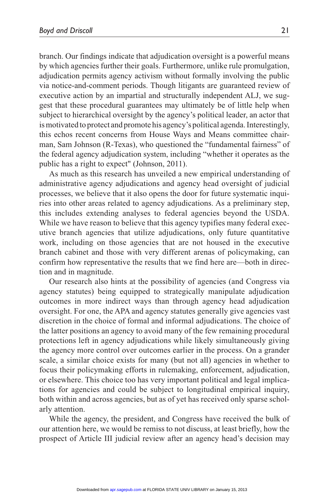branch. Our findings indicate that adjudication oversight is a powerful means by which agencies further their goals. Furthermore, unlike rule promulgation, adjudication permits agency activism without formally involving the public via notice-and-comment periods. Though litigants are guaranteed review of executive action by an impartial and structurally independent ALJ, we suggest that these procedural guarantees may ultimately be of little help when subject to hierarchical oversight by the agency's political leader, an actor that is motivated to protect and promote his agency's political agenda. Interestingly, this echos recent concerns from House Ways and Means committee chairman, Sam Johnson (R-Texas), who questioned the "fundamental fairness" of the federal agency adjudication system, including "whether it operates as the public has a right to expect" (Johnson, 2011).

As much as this research has unveiled a new empirical understanding of administrative agency adjudications and agency head oversight of judicial processes, we believe that it also opens the door for future systematic inquiries into other areas related to agency adjudications. As a preliminary step, this includes extending analyses to federal agencies beyond the USDA. While we have reason to believe that this agency typifies many federal executive branch agencies that utilize adjudications, only future quantitative work, including on those agencies that are not housed in the executive branch cabinet and those with very different arenas of policymaking, can confirm how representative the results that we find here are—both in direction and in magnitude.

Our research also hints at the possibility of agencies (and Congress via agency statutes) being equipped to strategically manipulate adjudication outcomes in more indirect ways than through agency head adjudication oversight. For one, the APA and agency statutes generally give agencies vast discretion in the choice of formal and informal adjudications. The choice of the latter positions an agency to avoid many of the few remaining procedural protections left in agency adjudications while likely simultaneously giving the agency more control over outcomes earlier in the process. On a grander scale, a similar choice exists for many (but not all) agencies in whether to focus their policymaking efforts in rulemaking, enforcement, adjudication, or elsewhere. This choice too has very important political and legal implications for agencies and could be subject to longitudinal empirical inquiry, both within and across agencies, but as of yet has received only sparse scholarly attention.

While the agency, the president, and Congress have received the bulk of our attention here, we would be remiss to not discuss, at least briefly, how the prospect of Article III judicial review after an agency head's decision may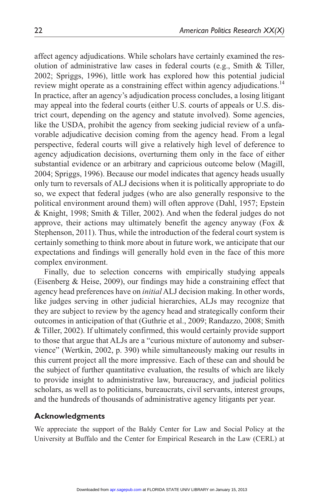affect agency adjudications. While scholars have certainly examined the resolution of administrative law cases in federal courts (e.g., Smith & Tiller, 2002; Spriggs, 1996), little work has explored how this potential judicial review might operate as a constraining effect within agency adjudications.<sup>14</sup> In practice, after an agency's adjudication process concludes, a losing litigant may appeal into the federal courts (either U.S. courts of appeals or U.S. district court, depending on the agency and statute involved). Some agencies, like the USDA, prohibit the agency from seeking judicial review of a unfavorable adjudicative decision coming from the agency head. From a legal perspective, federal courts will give a relatively high level of deference to agency adjudication decisions, overturning them only in the face of either substantial evidence or an arbitrary and capricious outcome below (Magill, 2004; Spriggs, 1996). Because our model indicates that agency heads usually only turn to reversals of ALJ decisions when it is politically appropriate to do so, we expect that federal judges (who are also generally responsive to the political environment around them) will often approve (Dahl, 1957; Epstein & Knight, 1998; Smith & Tiller, 2002). And when the federal judges do not approve, their actions may ultimately benefit the agency anyway (Fox & Stephenson, 2011). Thus, while the introduction of the federal court system is certainly something to think more about in future work, we anticipate that our expectations and findings will generally hold even in the face of this more complex environment.

Finally, due to selection concerns with empirically studying appeals (Eisenberg & Heise, 2009), our findings may hide a constraining effect that agency head preferences have on *initial* ALJ decision making. In other words, like judges serving in other judicial hierarchies, ALJs may recognize that they are subject to review by the agency head and strategically conform their outcomes in anticipation of that (Guthrie et al., 2009; Randazzo, 2008; Smith & Tiller, 2002). If ultimately confirmed, this would certainly provide support to those that argue that ALJs are a "curious mixture of autonomy and subservience" (Wertkin, 2002, p. 390) while simultaneously making our results in this current project all the more impressive. Each of these can and should be the subject of further quantitative evaluation, the results of which are likely to provide insight to administrative law, bureaucracy, and judicial politics scholars, as well as to politicians, bureaucrats, civil servants, interest groups, and the hundreds of thousands of administrative agency litigants per year.

#### **Acknowledgments**

We appreciate the support of the Baldy Center for Law and Social Policy at the University at Buffalo and the Center for Empirical Research in the Law (CERL) at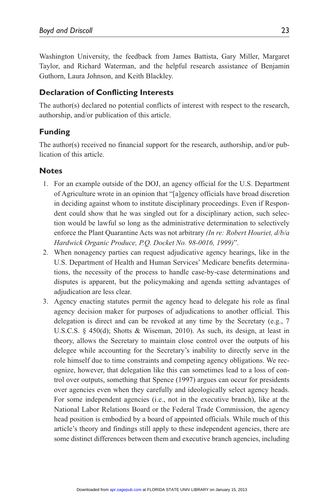Washington University, the feedback from James Battista, Gary Miller, Margaret Taylor, and Richard Waterman, and the helpful research assistance of Benjamin Guthorn, Laura Johnson, and Keith Blackley.

#### **Declaration of Conflicting Interests**

The author(s) declared no potential conflicts of interest with respect to the research, authorship, and/or publication of this article.

#### **Funding**

The author(s) received no financial support for the research, authorship, and/or publication of this article.

#### **Notes**

- 1. For an example outside of the DOJ, an agency official for the U.S. Department of Agriculture wrote in an opinion that "[a]gency officials have broad discretion in deciding against whom to institute disciplinary proceedings. Even if Respondent could show that he was singled out for a disciplinary action, such selection would be lawful so long as the administrative determination to selectively enforce the Plant Quarantine Acts was not arbitrary *(In re: Robert Houriet, d/b/a Hardwick Organic Produce, P.Q. Docket No. 98-0016, 1999)*".
- 2. When nonagency parties can request adjudicative agency hearings, like in the U.S. Department of Health and Human Services' Medicare benefits determinations, the necessity of the process to handle case-by-case determinations and disputes is apparent, but the policymaking and agenda setting advantages of adjudication are less clear.
- 3. Agency enacting statutes permit the agency head to delegate his role as final agency decision maker for purposes of adjudications to another official. This delegation is direct and can be revoked at any time by the Secretary (e.g., 7 U.S.C.S. § 450(d); Shotts & Wiseman, 2010). As such, its design, at least in theory, allows the Secretary to maintain close control over the outputs of his delegee while accounting for the Secretary's inability to directly serve in the role himself due to time constraints and competing agency obligations. We recognize, however, that delegation like this can sometimes lead to a loss of control over outputs, something that Spence (1997) argues can occur for presidents over agencies even when they carefully and ideologically select agency heads. For some independent agencies (i.e., not in the executive branch), like at the National Labor Relations Board or the Federal Trade Commission, the agency head position is embodied by a board of appointed officials. While much of this article's theory and findings still apply to these independent agencies, there are some distinct differences between them and executive branch agencies, including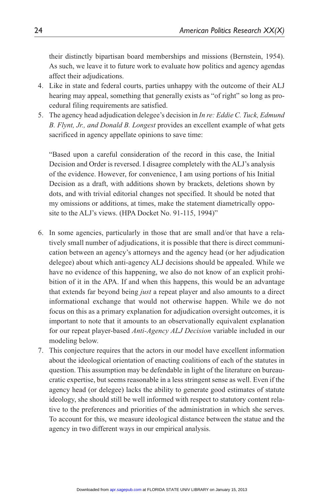their distinctly bipartisan board memberships and missions (Bernstein, 1954). As such, we leave it to future work to evaluate how politics and agency agendas affect their adjudications.

- 4. Like in state and federal courts, parties unhappy with the outcome of their ALJ hearing may appeal, something that generally exists as "of right" so long as procedural filing requirements are satisfied.
- 5. The agency head adjudication delegee's decision in *In re: Eddie C. Tuck, Edmund B. Flynt, Jr., and Donald B. Longest* provides an excellent example of what gets sacrificed in agency appellate opinions to save time:

"Based upon a careful consideration of the record in this case, the Initial Decision and Order is reversed. I disagree completely with the ALJ's analysis of the evidence. However, for convenience, I am using portions of his Initial Decision as a draft, with additions shown by brackets, deletions shown by dots, and with trivial editorial changes not specified. It should be noted that my omissions or additions, at times, make the statement diametrically opposite to the ALJ's views. (HPA Docket No. 91-115, 1994)"

- 6. In some agencies, particularly in those that are small and/or that have a relatively small number of adjudications, it is possible that there is direct communication between an agency's attorneys and the agency head (or her adjudication delegee) about which anti-agency ALJ decisions should be appealed. While we have no evidence of this happening, we also do not know of an explicit prohibition of it in the APA. If and when this happens, this would be an advantage that extends far beyond being *just* a repeat player and also amounts to a direct informational exchange that would not otherwise happen. While we do not focus on this as a primary explanation for adjudication oversight outcomes, it is important to note that it amounts to an observationally equivalent explanation for our repeat player-based *Anti-Agency ALJ Decision* variable included in our modeling below.
- 7. This conjecture requires that the actors in our model have excellent information about the ideological orientation of enacting coalitions of each of the statutes in question. This assumption may be defendable in light of the literature on bureaucratic expertise, but seems reasonable in a less stringent sense as well. Even if the agency head (or delegee) lacks the ability to generate good estimates of statute ideology, she should still be well informed with respect to statutory content relative to the preferences and priorities of the administration in which she serves. To account for this, we measure ideological distance between the statue and the agency in two different ways in our empirical analysis.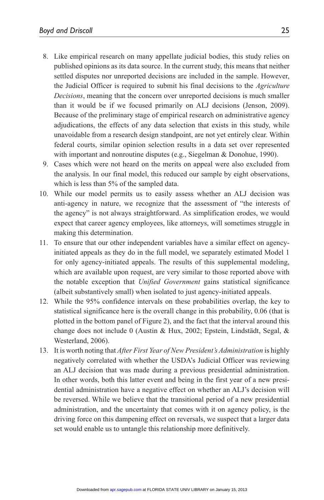- 8. Like empirical research on many appellate judicial bodies, this study relies on published opinions as its data source. In the current study, this means that neither settled disputes nor unreported decisions are included in the sample. However, the Judicial Officer is required to submit his final decisions to the *Agriculture Decisions*, meaning that the concern over unreported decisions is much smaller than it would be if we focused primarily on ALJ decisions (Jenson, 2009). Because of the preliminary stage of empirical research on administrative agency adjudications, the effects of any data selection that exists in this study, while unavoidable from a research design standpoint, are not yet entirely clear. Within federal courts, similar opinion selection results in a data set over represented with important and nonroutine disputes (e.g., Siegelman & Donohue, 1990).
- 9. Cases which were not heard on the merits on appeal were also excluded from the analysis. In our final model, this reduced our sample by eight observations, which is less than 5% of the sampled data.
- 10. While our model permits us to easily assess whether an ALJ decision was anti-agency in nature, we recognize that the assessment of "the interests of the agency" is not always straightforward. As simplification erodes, we would expect that career agency employees, like attorneys, will sometimes struggle in making this determination.
- 11. To ensure that our other independent variables have a similar effect on agencyinitiated appeals as they do in the full model, we separately estimated Model 1 for only agency-initiated appeals. The results of this supplemental modeling, which are available upon request, are very similar to those reported above with the notable exception that *Unified Government* gains statistical significance (albeit substantively small) when isolated to just agency-initiated appeals.
- 12. While the 95% confidence intervals on these probabilities overlap, the key to statistical significance here is the overall change in this probability, 0.06 (that is plotted in the bottom panel of Figure 2), and the fact that the interval around this change does not include 0 (Austin & Hux, 2002; Epstein, Lindstädt, Segal, & Westerland, 2006).
- 13. It is worth noting that *After First Year of New President's Administration* is highly negatively correlated with whether the USDA's Judicial Officer was reviewing an ALJ decision that was made during a previous presidential administration. In other words, both this latter event and being in the first year of a new presidential administration have a negative effect on whether an ALJ's decision will be reversed. While we believe that the transitional period of a new presidential administration, and the uncertainty that comes with it on agency policy, is the driving force on this dampening effect on reversals, we suspect that a larger data set would enable us to untangle this relationship more definitively.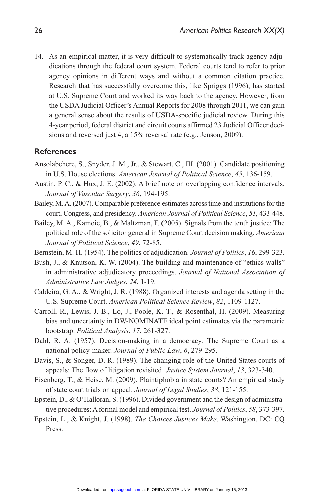14. As an empirical matter, it is very difficult to systematically track agency adjudications through the federal court system. Federal courts tend to refer to prior agency opinions in different ways and without a common citation practice. Research that has successfully overcome this, like Spriggs (1996), has started at U.S. Supreme Court and worked its way back to the agency. However, from the USDA Judicial Officer's Annual Reports for 2008 through 2011, we can gain a general sense about the results of USDA-specific judicial review. During this 4-year period, federal district and circuit courts affirmed 23 Judicial Officer decisions and reversed just 4, a 15% reversal rate (e.g., Jenson, 2009).

#### **References**

- Ansolabehere, S., Snyder, J. M., Jr., & Stewart, C., III. (2001). Candidate positioning in U.S. House elections. *American Journal of Political Science*, *45*, 136-159.
- Austin, P. C., & Hux, J. E. (2002). A brief note on overlapping confidence intervals. *Journal of Vascular Surgery*, *36*, 194-195.
- Bailey, M. A. (2007). Comparable preference estimates across time and institutions for the court, Congress, and presidency. *American Journal of Political Science*, *51*, 433-448.
- Bailey, M. A., Kamoie, B., & Maltzman, F. (2005). Signals from the tenth justice: The political role of the solicitor general in Supreme Court decision making. *American Journal of Political Science*, *49*, 72-85.
- Bernstein, M. H. (1954). The politics of adjudication. *Journal of Politics*, *16*, 299-323.
- Bush, J., & Knutson, K. W. (2004). The building and maintenance of "ethics walls" in administrative adjudicatory proceedings. *Journal of National Association of Administrative Law Judges*, *24*, 1-19.
- Caldeira, G. A., & Wright, J. R. (1988). Organized interests and agenda setting in the U.S. Supreme Court. *American Political Science Review*, *82*, 1109-1127.
- Carroll, R., Lewis, J. B., Lo, J., Poole, K. T., & Rosenthal, H. (2009). Measuring bias and uncertainty in DW-NOMINATE ideal point estimates via the parametric bootstrap. *Political Analysis*, *17*, 261-327.
- Dahl, R. A. (1957). Decision-making in a democracy: The Supreme Court as a national policy-maker. *Journal of Public Law*, *6*, 279-295.
- Davis, S., & Songer, D. R. (1989). The changing role of the United States courts of appeals: The flow of litigation revisited. *Justice System Journal*, *13*, 323-340.
- Eisenberg, T., & Heise, M. (2009). Plaintiphobia in state courts? An empirical study of state court trials on appeal. *Journal of Legal Studies*, *38*, 121-155.
- Epstein, D., & O'Halloran, S. (1996). Divided government and the design of administrative procedures: A formal model and empirical test. *Journal of Politics*, *58*, 373-397.
- Epstein, L., & Knight, J. (1998). *The Choices Justices Make*. Washington, DC: CQ Press.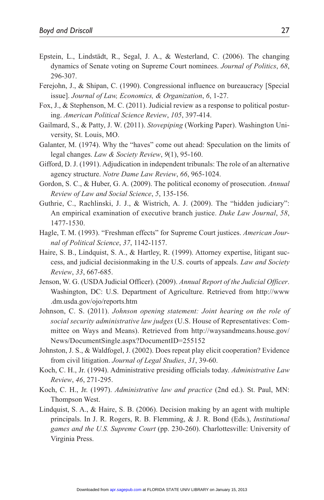- Epstein, L., Lindstädt, R., Segal, J. A., & Westerland, C. (2006). The changing dynamics of Senate voting on Supreme Court nominees. *Journal of Politics*, *68*, 296-307.
- Ferejohn, J., & Shipan, C. (1990). Congressional influence on bureaucracy [Special issue]. *Journal of Law, Economics, & Organization*, *6*, 1-27.
- Fox, J., & Stephenson, M. C. (2011). Judicial review as a response to political posturing. *American Political Science Review*, *105*, 397-414.
- Gailmard, S., & Patty, J. W. (2011). *Stovepiping* (Working Paper). Washington University, St. Louis, MO.
- Galanter, M. (1974). Why the "haves" come out ahead: Speculation on the limits of legal changes. *Law & Society Review*, *9*(1), 95-160.
- Gifford, D. J. (1991). Adjudication in independent tribunals: The role of an alternative agency structure. *Notre Dame Law Review*, *66*, 965-1024.
- Gordon, S. C., & Huber, G. A. (2009). The political economy of prosecution. *Annual Review of Law and Social Science*, *5*, 135-156.
- Guthrie, C., Rachlinski, J. J., & Wistrich, A. J. (2009). The "hidden judiciary": An empirical examination of executive branch justice. *Duke Law Journal*, *58*, 1477-1530.
- Hagle, T. M. (1993). "Freshman effects" for Supreme Court justices. *American Journal of Political Science*, *37*, 1142-1157.
- Haire, S. B., Lindquist, S. A., & Hartley, R. (1999). Attorney expertise, litigant success, and judicial decisionmaking in the U.S. courts of appeals. *Law and Society Review*, *33*, 667-685.
- Jenson, W. G. (USDA Judicial Officer). (2009). *Annual Report of the Judicial Officer*. Washington, DC: U.S. Department of Agriculture. Retrieved from http://www .dm.usda.gov/ojo/reports.htm
- Johnson, C. S. (2011). *Johnson opening statement: Joint hearing on the role of social security administrative law judges* (U.S. House of Representatives: Committee on Ways and Means). Retrieved from http://waysandmeans.house.gov/ News/DocumentSingle.aspx?DocumentID=255152
- Johnston, J. S., & Waldfogel, J. (2002). Does repeat play elicit cooperation? Evidence from civil litigation. *Journal of Legal Studies*, *31*, 39-60.
- Koch, C. H., Jr. (1994). Administrative presiding officials today. *Administrative Law Review*, *46*, 271-295.
- Koch, C. H., Jr. (1997). *Administrative law and practice* (2nd ed.). St. Paul, MN: Thompson West.
- Lindquist, S. A., & Haire, S. B. (2006). Decision making by an agent with multiple principals. In J. R. Rogers, R. B. Flemming, & J. R. Bond (Eds.), *Institutional games and the U.S. Supreme Court* (pp. 230-260). Charlottesville: University of Virginia Press.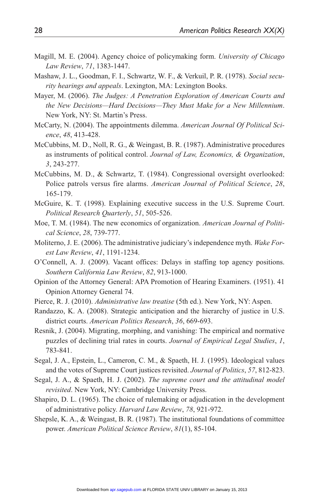- Magill, M. E. (2004). Agency choice of policymaking form. *University of Chicago Law Review*, *71*, 1383-1447.
- Mashaw, J. L., Goodman, F. I., Schwartz, W. F., & Verkuil, P. R. (1978). *Social security hearings and appeals*. Lexington, MA: Lexington Books.
- Mayer, M. (2006). *The Judges: A Penetration Exploration of American Courts and the New Decisions—Hard Decisions—They Must Make for a New Millennium*. New York, NY: St. Martin's Press.
- McCarty, N. (2004). The appointments dilemma. *American Journal Of Political Science*, *48*, 413-428.
- McCubbins, M. D., Noll, R. G., & Weingast, B. R. (1987). Administrative procedures as instruments of political control. *Journal of Law, Economics, & Organization*, *3*, 243-277.
- McCubbins, M. D., & Schwartz, T. (1984). Congressional oversight overlooked: Police patrols versus fire alarms. *American Journal of Political Science*, *28*, 165-179.
- McGuire, K. T. (1998). Explaining executive success in the U.S. Supreme Court. *Political Research Quarterly*, *51*, 505-526.
- Moe, T. M. (1984). The new economics of organization. *American Journal of Political Science*, *28*, 739-777.
- Moliterno, J. E. (2006). The administrative judiciary's independence myth. *Wake Forest Law Review*, *41*, 1191-1234.
- O'Connell, A. J. (2009). Vacant offices: Delays in staffing top agency positions. *Southern California Law Review*, *82*, 913-1000.
- Opinion of the Attorney General: APA Promotion of Hearing Examiners. (1951). 41 Opinion Attorney General 74.
- Pierce, R. J. (2010). *Administrative law treatise* (5th ed.). New York, NY: Aspen.
- Randazzo, K. A. (2008). Strategic anticipation and the hierarchy of justice in U.S. district courts. *American Politics Research*, *36*, 669-693.
- Resnik, J. (2004). Migrating, morphing, and vanishing: The empirical and normative puzzles of declining trial rates in courts. *Journal of Empirical Legal Studies*, *1*, 783-841.
- Segal, J. A., Epstein, L., Cameron, C. M., & Spaeth, H. J. (1995). Ideological values and the votes of Supreme Court justices revisited. *Journal of Politics*, *57*, 812-823.
- Segal, J. A., & Spaeth, H. J. (2002). *The supreme court and the attitudinal model revisited*. New York, NY: Cambridge University Press.
- Shapiro, D. L. (1965). The choice of rulemaking or adjudication in the development of administrative policy. *Harvard Law Review*, *78*, 921-972.
- Shepsle, K. A., & Weingast, B. R. (1987). The institutional foundations of committee power. *American Political Science Review*, *81*(1), 85-104.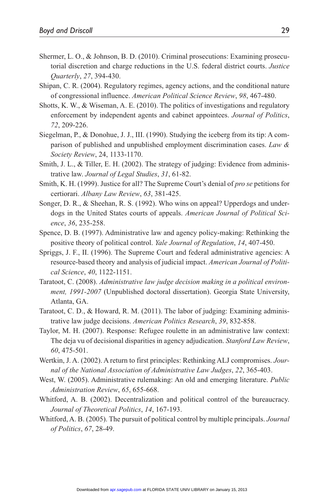- Shermer, L. O., & Johnson, B. D. (2010). Criminal prosecutions: Examining prosecutorial discretion and charge reductions in the U.S. federal district courts. *Justice Quarterly*, *27*, 394-430.
- Shipan, C. R. (2004). Regulatory regimes, agency actions, and the conditional nature of congressional influence. *American Political Science Review*, *98*, 467-480.
- Shotts, K. W., & Wiseman, A. E. (2010). The politics of investigations and regulatory enforcement by independent agents and cabinet appointees. *Journal of Politics*, *72*, 209-226.
- Siegelman, P., & Donohue, J. J., III. (1990). Studying the iceberg from its tip: A comparison of published and unpublished employment discrimination cases. *Law & Society Review*, 24, 1133-1170.
- Smith, J. L., & Tiller, E. H. (2002). The strategy of judging: Evidence from administrative law. *Journal of Legal Studies*, *31*, 61-82.
- Smith, K. H. (1999). Justice for all? The Supreme Court's denial of *pro se* petitions for certiorari. *Albany Law Review*, *63*, 381-425.
- Songer, D. R., & Sheehan, R. S. (1992). Who wins on appeal? Upperdogs and underdogs in the United States courts of appeals. *American Journal of Political Science*, *36*, 235-258.
- Spence, D. B. (1997). Administrative law and agency policy-making: Rethinking the positive theory of political control. *Yale Journal of Regulation*, *14*, 407-450.
- Spriggs, J. F., II. (1996). The Supreme Court and federal administrative agencies: A resource-based theory and analysis of judicial impact. *American Journal of Political Science*, *40*, 1122-1151.
- Taratoot, C. (2008). *Administrative law judge decision making in a political environment, 1991-2007* (Unpublished doctoral dissertation). Georgia State University, Atlanta, GA.
- Taratoot, C. D., & Howard, R. M. (2011). The labor of judging: Examining administrative law judge decisions. *American Politics Research*, *39*, 832-858.
- Taylor, M. H. (2007). Response: Refugee roulette in an administrative law context: The deja vu of decisional disparities in agency adjudication. *Stanford Law Review*, *60*, 475-501.
- Wertkin, J. A. (2002). A return to first principles: Rethinking ALJ compromises. *Journal of the National Association of Administrative Law Judges*, *22*, 365-403.
- West, W. (2005). Administrative rulemaking: An old and emerging literature. *Public Administration Review*, *65*, 655-668.
- Whitford, A. B. (2002). Decentralization and political control of the bureaucracy. *Journal of Theoretical Politics*, *14*, 167-193.
- Whitford, A. B. (2005). The pursuit of political control by multiple principals. *Journal of Politics*, *67*, 28-49.